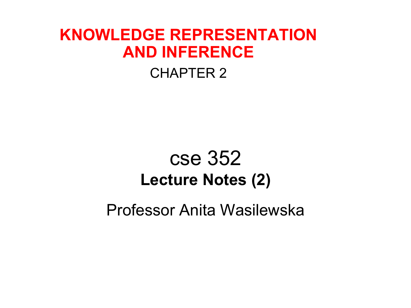#### **KNOWLEDGE REPRESENTATION AND INFERENCE**

#### CHAPTER 2

#### cse 352 **Lecture Notes (2)**

Professor Anita Wasilewska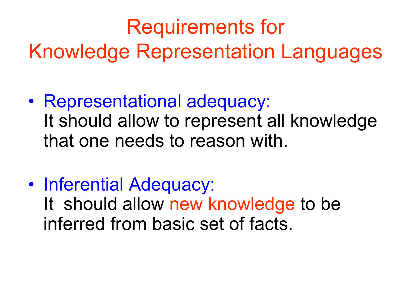#### Requirements for

Knowledge Representation Languages

- Representational adequacy: It should allow to represent all knowledge that one needs to reason with.
- Inferential Adequacy: It should allow new knowledge to be inferred from basic set of facts.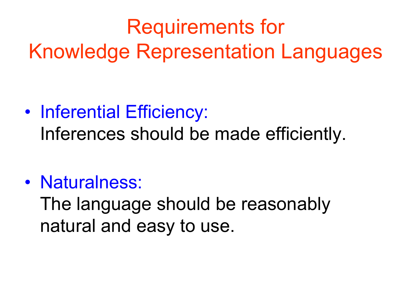#### Requirements for Knowledge Representation Languages

#### • Inferential Efficiency: Inferences should be made efficiently.

#### • Naturalness:

The language should be reasonably natural and easy to use.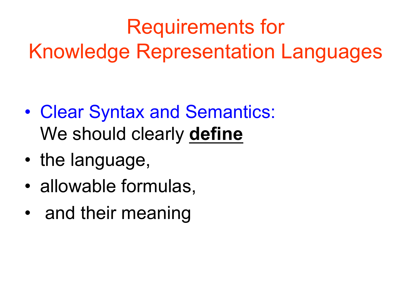#### Requirements for Knowledge Representation Languages

- Clear Syntax and Semantics: We should clearly **define**
- the language,
- allowable formulas,
- and their meaning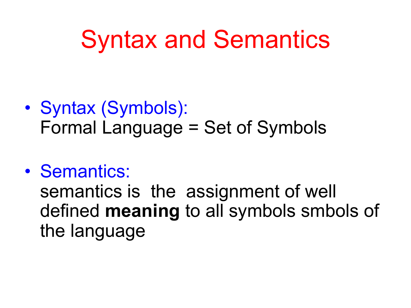- Syntax (Symbols): Formal Language = Set of Symbols
- Semantics:

semantics is the assignment of well defined **meaning** to all symbols smbols of the language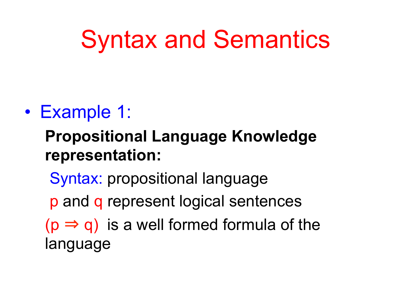#### • Example 1:

#### **Propositional Language Knowledge representation:**

- Syntax: propositional language
- p and q represent logical sentences
- $(p \Rightarrow q)$  is a well formed formula of the language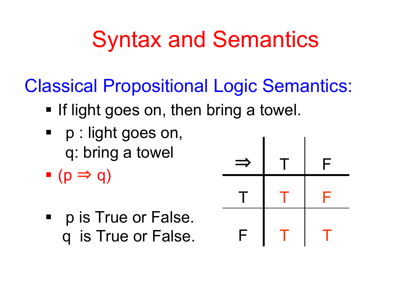Classical Propositional Logic Semantics:

- **If light goes on, then bring a towel.**
- p : light goes on, q: bring a towel
- $\bullet$  (p  $\Rightarrow$  q)
- p is True or False. q is True or False.

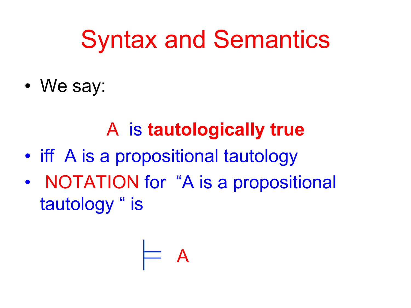• We say:

#### A is **tautologically true**

- iff A is a propositional tautology
- NOTATION for "A is a propositional tautology " is

$$
\models \mathsf{A}
$$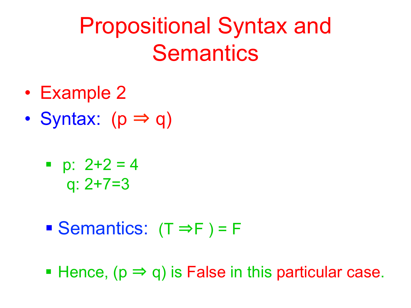#### Propositional Syntax and **Semantics**

- Example 2
- Syntax:  $(p \Rightarrow q)$ 
	- $p: 2+2 = 4$ q: 2+7=3
	- Semantics:  $(T \Rightarrow F) = F$
	- **Hence,**  $(p \Rightarrow q)$  **is False in this particular case.**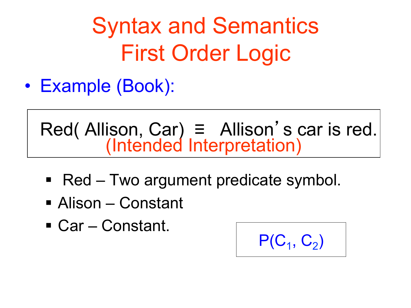Syntax and Semantics First Order Logic

• Example (Book):

Red( Allison, Car)  $\equiv$  Allison's car is red. (Intended Interpretation)

- Red Two argument predicate symbol.
- Alison Constant
- Car Constant.

$$
P(C_1, C_2)
$$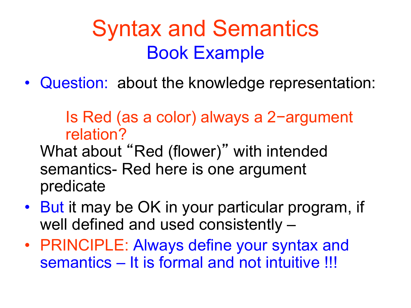• Question: about the knowledge representation:

Is Red (as a color) always a 2−argument relation?

What about "Red (flower)" with intended semantics- Red here is one argument predicate

- But it may be OK in your particular program, if well defined and used consistently –
- PRINCIPLE: Always define your syntax and semantics – It is formal and not intuitive !!!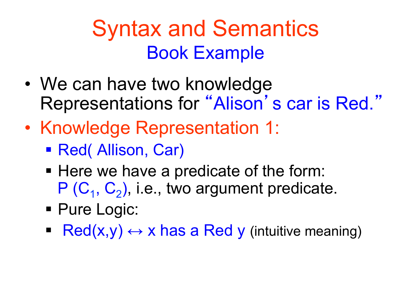- We can have two knowledge Representations for "Alison's car is Red."
- Knowledge Representation 1:
	- Red( Allison, Car)
	- Here we have a predicate of the form:  $P(C_1, C_2)$ , i.e., two argument predicate.
	- Pure Logic:
	- Red(x,y)  $\leftrightarrow$  x has a Red y (intuitive meaning)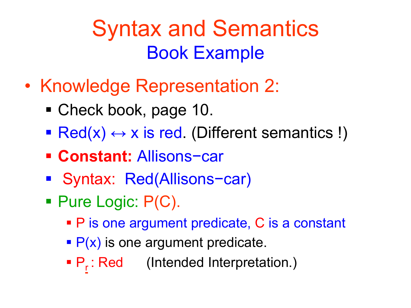- Knowledge Representation 2:
	- Check book, page 10.
	- Red(x)  $\leftrightarrow$  x is red. (Different semantics !)
	- § **Constant:** Allisons−car
	- § Syntax: Red(Allisons−car)
	- Pure Logic: P(C).
		- P is one argument predicate, C is a constant
		- $\blacktriangleright$  P(x) is one argument predicate.
		- P<sub>r</sub>: Red (Intended Interpretation.)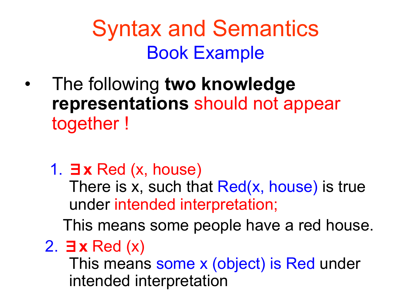- The following **two knowledge representations** should not appear together !
	- 1. ∃**x** Red (x, house)

There is x, such that Red(x, house) is true under intended interpretation;

This means some people have a red house.

2. ∃**x** Red (x)

This means some x (object) is Red under intended interpretation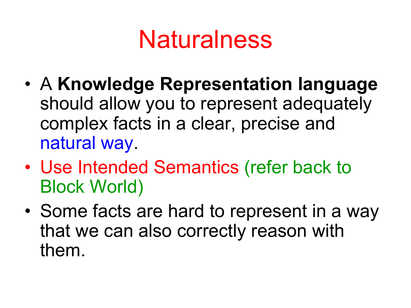## **Naturalness**

- A **Knowledge Representation language**  should allow you to represent adequately complex facts in a clear, precise and natural way.
- Use Intended Semantics (refer back to Block World)
- Some facts are hard to represent in a way that we can also correctly reason with them.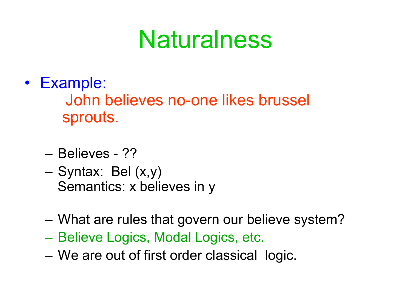## **Naturalness**

- Example: John believes no-one likes brussel sprouts.
	- Believes ??
	- Syntax: Bel (x,y) Semantics: x believes in y
	- What are rules that govern our believe system?
	- Believe Logics, Modal Logics, etc.
	- We are out of first order classical logic.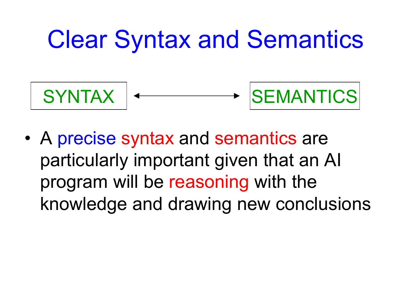## Clear Syntax and Semantics



• A precise syntax and semantics are particularly important given that an AI program will be reasoning with the knowledge and drawing new conclusions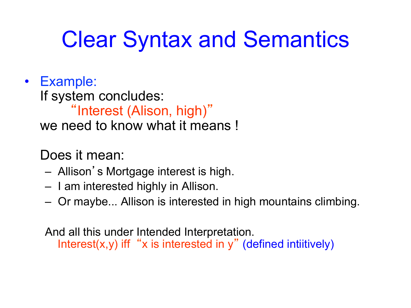#### Clear Syntax and Semantics

• Example: If system concludes: "Interest (Alison, high)" we need to know what it means !

Does it mean:

- Allison's Mortgage interest is high.
- I am interested highly in Allison.
- Or maybe... Allison is interested in high mountains climbing.

And all this under Intended Interpretation. Interest(x,y) iff "x is interested in y" (defined intiitively)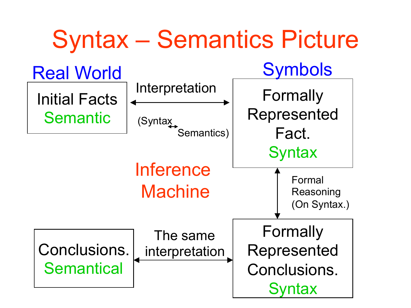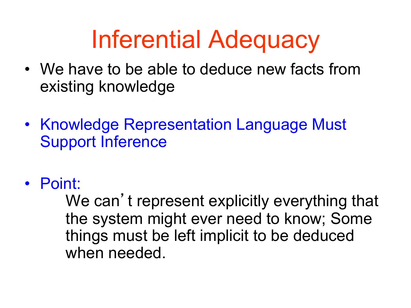## Inferential Adequacy

- We have to be able to deduce new facts from existing knowledge
- Knowledge Representation Language Must Support Inference
- Point:

We can't represent explicitly everything that the system might ever need to know; Some things must be left implicit to be deduced when needed.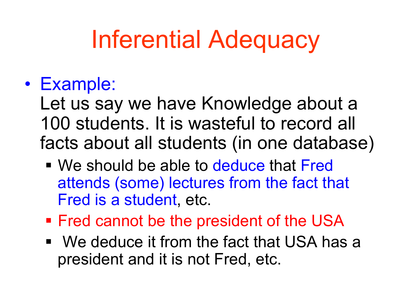# Inferential Adequacy

#### • Example:

Let us say we have Knowledge about a 100 students. It is wasteful to record all facts about all students (in one database)

- We should be able to deduce that Fred attends (some) lectures from the fact that Fred is a student, etc.
- § Fred cannot be the president of the USA
- We deduce it from the fact that USA has a president and it is not Fred, etc.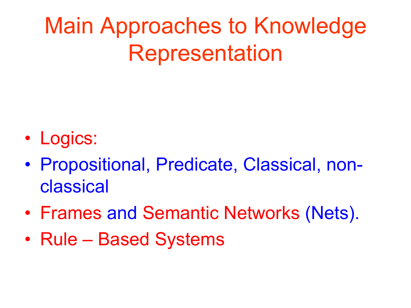- Logics:
- Propositional, Predicate, Classical, nonclassical
- Frames and Semantic Networks (Nets).
- Rule Based Systems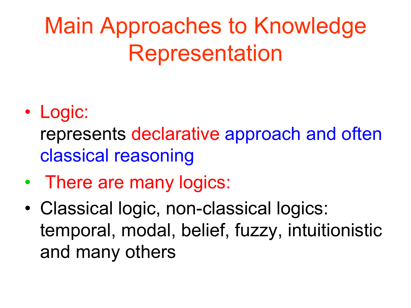#### • Logic:

represents declarative approach and often classical reasoning

- There are many logics:
- Classical logic, non-classical logics: temporal, modal, belief, fuzzy, intuitionistic and many others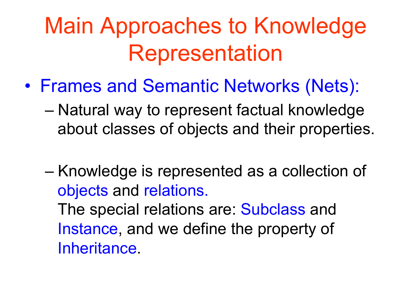- Frames and Semantic Networks (Nets):
	- Natural way to represent factual knowledge about classes of objects and their properties.

– Knowledge is represented as a collection of objects and relations. The special relations are: Subclass and Instance, and we define the property of Inheritance.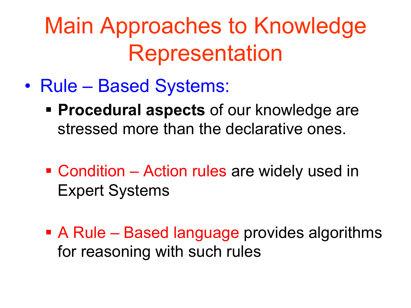- Rule Based Systems:
	- § **Procedural aspects** of our knowledge are stressed more than the declarative ones.
	- Condition Action rules are widely used in Expert Systems
	- A Rule Based language provides algorithms for reasoning with such rules